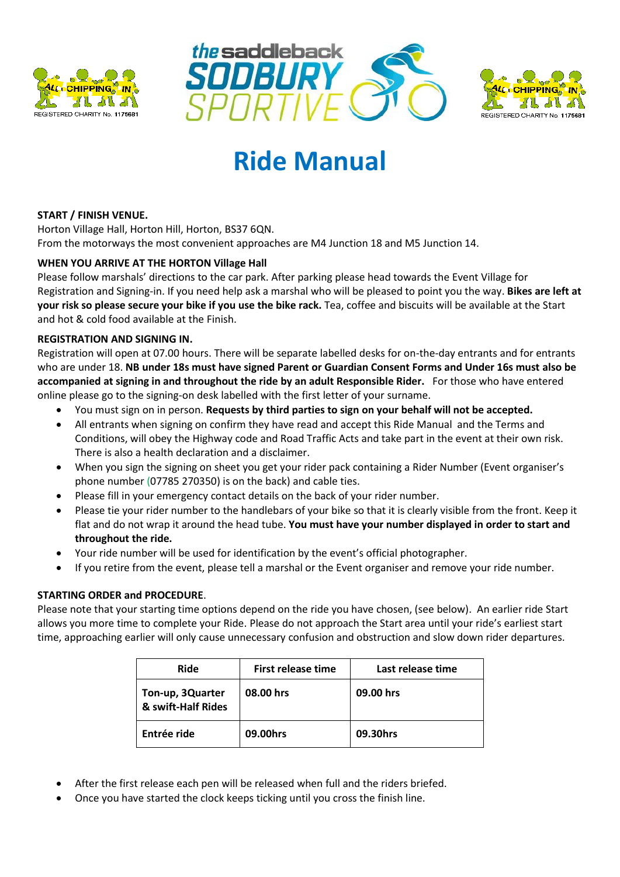





# **Ride Manual**

# **START / FINISH VENUE.**

Horton Village Hall, Horton Hill, Horton, BS37 6QN. From the motorways the most convenient approaches are M4 Junction 18 and M5 Junction 14.

# **WHEN YOU ARRIVE AT THE HORTON Village Hall**

Please follow marshals' directions to the car park. After parking please head towards the Event Village for Registration and Signing-in. If you need help ask a marshal who will be pleased to point you the way. **Bikes are left at your risk so please secure your bike if you use the bike rack.** Tea, coffee and biscuits will be available at the Start and hot & cold food available at the Finish.

# **REGISTRATION AND SIGNING IN.**

Registration will open at 07.00 hours. There will be separate labelled desks for on-the-day entrants and for entrants who are under 18. **NB under 18s must have signed Parent or Guardian Consent Forms and Under 16s must also be accompanied at signing in and throughout the ride by an adult Responsible Rider.** For those who have entered online please go to the signing-on desk labelled with the first letter of your surname.

- You must sign on in person. **Requests by third parties to sign on your behalf will not be accepted.**
- All entrants when signing on confirm they have read and accept this Ride Manual and the Terms and Conditions, will obey the Highway code and Road Traffic Acts and take part in the event at their own risk. There is also a health declaration and a disclaimer.
- When you sign the signing on sheet you get your rider pack containing a Rider Number (Event organiser's phone number (07785 270350) is on the back) and cable ties.
- Please fill in your emergency contact details on the back of your rider number.
- Please tie your rider number to the handlebars of your bike so that it is clearly visible from the front. Keep it flat and do not wrap it around the head tube. **You must have your number displayed in order to start and throughout the ride.**
- Your ride number will be used for identification by the event's official photographer.
- If you retire from the event, please tell a marshal or the Event organiser and remove your ride number.

# **STARTING ORDER and PROCEDURE**.

Please note that your starting time options depend on the ride you have chosen, (see below). An earlier ride Start allows you more time to complete your Ride. Please do not approach the Start area until your ride's earliest start time, approaching earlier will only cause unnecessary confusion and obstruction and slow down rider departures.

| <b>Ride</b>                            | First release time | Last release time |
|----------------------------------------|--------------------|-------------------|
| Ton-up, 3Quarter<br>& swift-Half Rides | 08.00 hrs          | 09.00 hrs         |
| Entrée ride                            | 09.00hrs           | 09.30hrs          |

- After the first release each pen will be released when full and the riders briefed.
- Once you have started the clock keeps ticking until you cross the finish line.